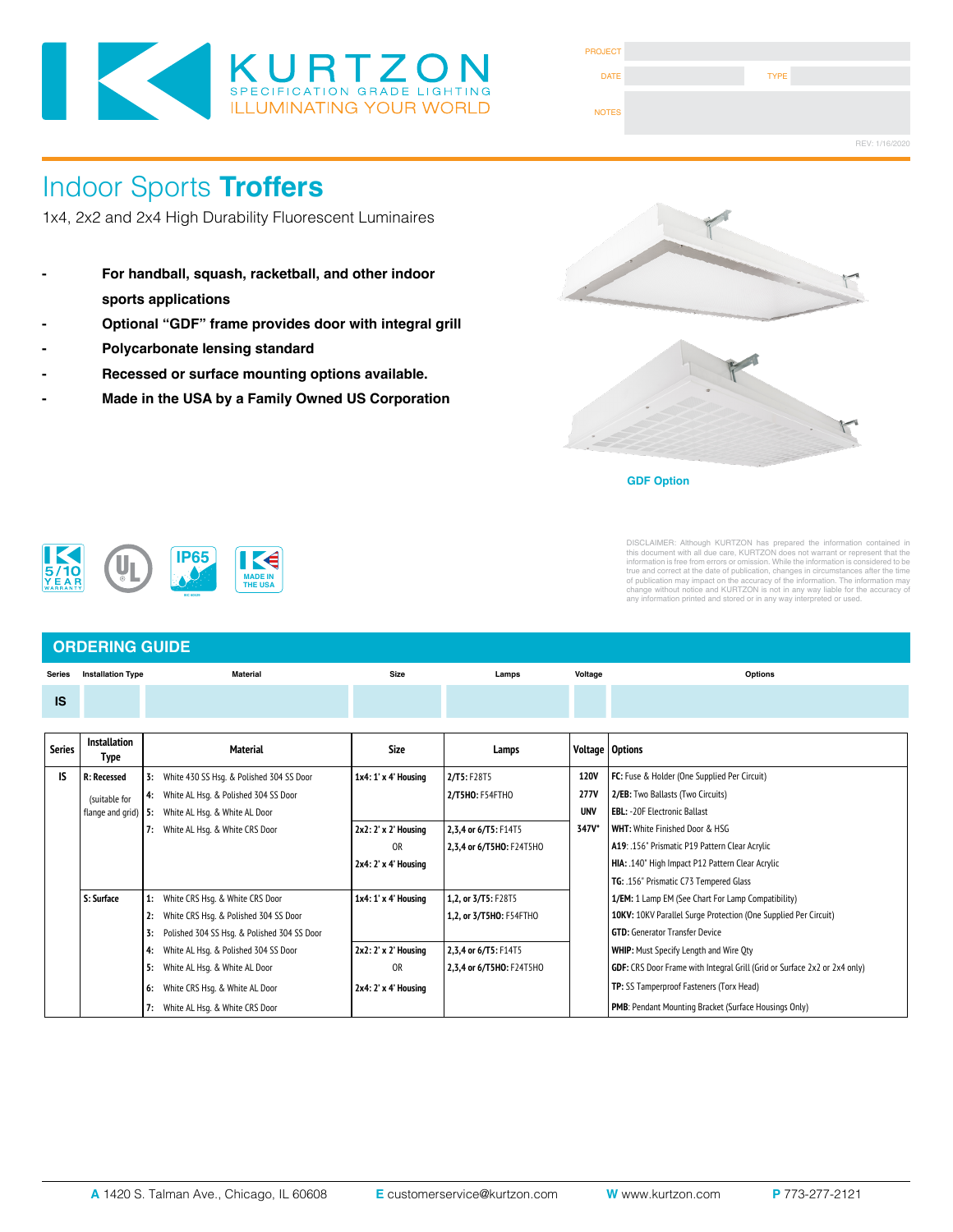

| <b>PROJECT</b> |             |                |
|----------------|-------------|----------------|
| <b>DATE</b>    | <b>TYPE</b> |                |
| <b>NOTES</b>   |             |                |
|                |             | REV: 1/16/2020 |

# Indoor Sports **Troffers**

1x4, 2x2 and 2x4 High Durability Fluorescent Luminaires

- **For handball, squash, racketball, and other indoor sports applications**
- **Optional "GDF" frame provides door with integral grill**
- **Polycarbonate lensing standard**
- **Recessed or surface mounting options available.**
- **Made in the USA by a Family Owned US Corporation**





**GDF Option**



DISCLAIMER: Altihough KURTZON has prepared the information contained in<br>this document with all due care, KURTZON does not warrant or represent that the<br>information is free from errors or omission. While the information is

### **ORDERING GUIDE**

| <b>Series</b> | <b>Installation Type</b>                    |      | <b>Material</b>                             | <b>Size</b>             | Lamps                    | Voltage                                                         | <b>Options</b>                                                            |  |
|---------------|---------------------------------------------|------|---------------------------------------------|-------------------------|--------------------------|-----------------------------------------------------------------|---------------------------------------------------------------------------|--|
| <b>IS</b>     |                                             |      |                                             |                         |                          |                                                                 |                                                                           |  |
|               |                                             |      |                                             |                         |                          |                                                                 |                                                                           |  |
| <b>Series</b> | <b>Installation</b><br>Type                 |      | <b>Material</b>                             | <b>Size</b>             | Lamps                    |                                                                 | Voltage   Options                                                         |  |
| IS            | <b>R: Recessed</b>                          | 3:   | White 430 SS Hsq. & Polished 304 SS Door    | 1x4: 1' x 4' Housing    | 2/T5: F28T5              | <b>120V</b>                                                     | FC: Fuse & Holder (One Supplied Per Circuit)                              |  |
|               | (suitable for                               |      | White AL Hsq. & Polished 304 SS Door        |                         | 2/T5HO: F54FTHO          | <b>277V</b>                                                     | 2/EB: Two Ballasts (Two Circuits)                                         |  |
|               | flange and grid)                            | l 5: | White AL Hsg. & White AL Door               |                         |                          | <b>UNV</b>                                                      | <b>EBL: - 20F Electronic Ballast</b>                                      |  |
|               |                                             | 7:   | White AL Hsq. & White CRS Door              | 2x2: 2' x 2' Housing    | 2,3,4 or 6/T5: F14T5     | 347V*                                                           | WHT: White Finished Door & HSG                                            |  |
|               |                                             |      |                                             | 0R                      | 2,3,4 or 6/T5HO: F24T5HO |                                                                 | A19: .156" Prismatic P19 Pattern Clear Acrylic                            |  |
|               |                                             |      |                                             | 2x4: 2' x 4' Housing    |                          |                                                                 | HIA: .140" High Impact P12 Pattern Clear Acrylic                          |  |
|               |                                             |      |                                             |                         |                          |                                                                 | TG: .156" Prismatic C73 Tempered Glass                                    |  |
|               | S: Surface                                  |      | White CRS Hsq. & White CRS Door             | 1x4: 1' x 4' Housing    | 1,2, or 3/T5: F28T5      |                                                                 | 1/EM: 1 Lamp EM (See Chart For Lamp Compatibility)                        |  |
|               | White CRS Hsq. & Polished 304 SS Door<br>2: |      |                                             | 1,2, or 3/T5HO: F54FTHO |                          | 10KV: 10KV Parallel Surge Protection (One Supplied Per Circuit) |                                                                           |  |
|               |                                             | 3:   | Polished 304 SS Hsq. & Polished 304 SS Door |                         |                          |                                                                 | <b>GTD:</b> Generator Transfer Device                                     |  |
|               |                                             | 4:   | White AL Hsg. & Polished 304 SS Door        | 2x2: 2' x 2' Housing    | 2,3,4 or 6/T5: F14T5     |                                                                 | <b>WHIP:</b> Must Specify Length and Wire Oty                             |  |
|               |                                             | 5:   | White AL Hsg. & White AL Door               | 0 <sub>R</sub>          | 2,3,4 or 6/T5HO: F24T5HO |                                                                 | GDF: CRS Door Frame with Integral Grill (Grid or Surface 2x2 or 2x4 only) |  |
|               |                                             | 6:   | White CRS Hsq. & White AL Door              | 2x4: 2' x 4' Housing    |                          |                                                                 | TP: SS Tamperproof Fasteners (Torx Head)                                  |  |
|               |                                             | 7:   | White AL Hsg. & White CRS Door              |                         |                          |                                                                 | PMB: Pendant Mounting Bracket (Surface Housings Only)                     |  |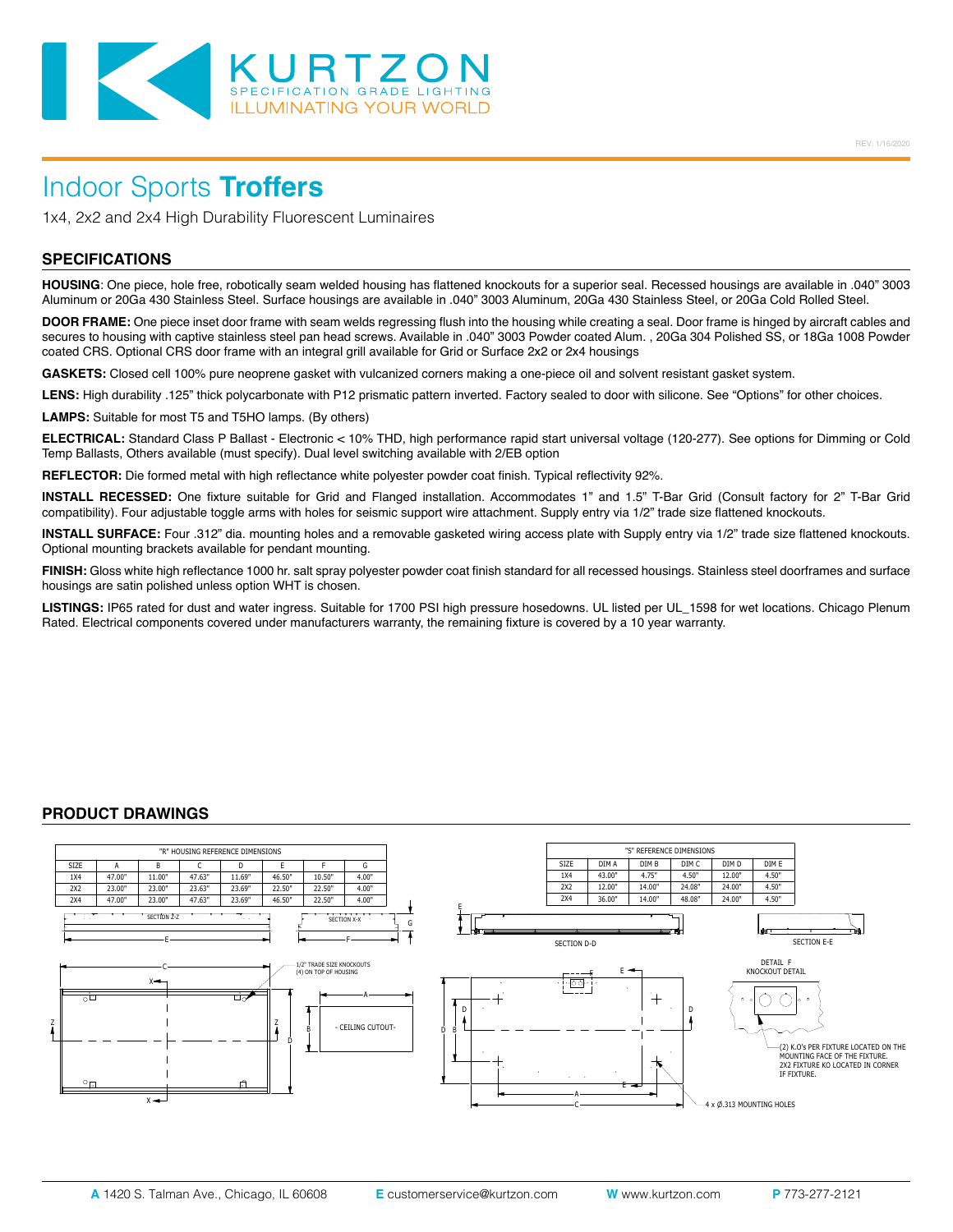

## Indoor Sports **Troffers**

1x4, 2x2 and 2x4 High Durability Fluorescent Luminaires

#### **SPECIFICATIONS**

**HOUSING**: One piece, hole free, robotically seam welded housing has flattened knockouts for a superior seal. Recessed housings are available in .040" 3003 Aluminum or 20Ga 430 Stainless Steel. Surface housings are available in .040" 3003 Aluminum, 20Ga 430 Stainless Steel, or 20Ga Cold Rolled Steel.

**DOOR FRAME:** One piece inset door frame with seam welds regressing flush into the housing while creating a seal. Door frame is hinged by aircraft cables and secures to housing with captive stainless steel pan head screws. Available in .040" 3003 Powder coated Alum. , 20Ga 304 Polished SS, or 18Ga 1008 Powder coated CRS. Optional CRS door frame with an integral grill available for Grid or Surface 2x2 or 2x4 housings

**GASKETS:** Closed cell 100% pure neoprene gasket with vulcanized corners making a one-piece oil and solvent resistant gasket system.

LENS: High durability .125" thick polycarbonate with P12 prismatic pattern inverted. Factory sealed to door with silicone. See "Options" for other choices.

**LAMPS:** Suitable for most T5 and T5HO lamps. (By others)

**ELECTRICAL:** Standard Class P Ballast - Electronic < 10% THD, high performance rapid start universal voltage (120-277). See options for Dimming or Cold Temp Ballasts, Others available (must specify). Dual level switching available with 2/EB option

**REFLECTOR:** Die formed metal with high reflectance white polyester powder coat finish. Typical reflectivity 92%.

**INSTALL RECESSED:** One fixture suitable for Grid and Flanged installation. Accommodates 1" and 1.5" T-Bar Grid (Consult factory for 2" T-Bar Grid compatibility). Four adjustable toggle arms with holes for seismic support wire attachment. Supply entry via 1/2" trade size flattened knockouts.

**INSTALL SURFACE:** Four .312" dia. mounting holes and a removable gasketed wiring access plate with Supply entry via 1/2" trade size flattened knockouts. Optional mounting brackets available for pendant mounting.

**FINISH:** Gloss white high reflectance 1000 hr. salt spray polyester powder coat finish standard for all recessed housings. Stainless steel doorframes and surface housings are satin polished unless option WHT is chosen.

**LISTINGS:** IP65 rated for dust and water ingress. Suitable for 1700 PSI high pressure hosedowns. UL listed per UL\_1598 for wet locations. Chicago Plenum Rated. Electrical components covered under manufacturers warranty, the remaining fixture is covered by a 10 year warranty.

#### **PRODUCT DRAWINGS**